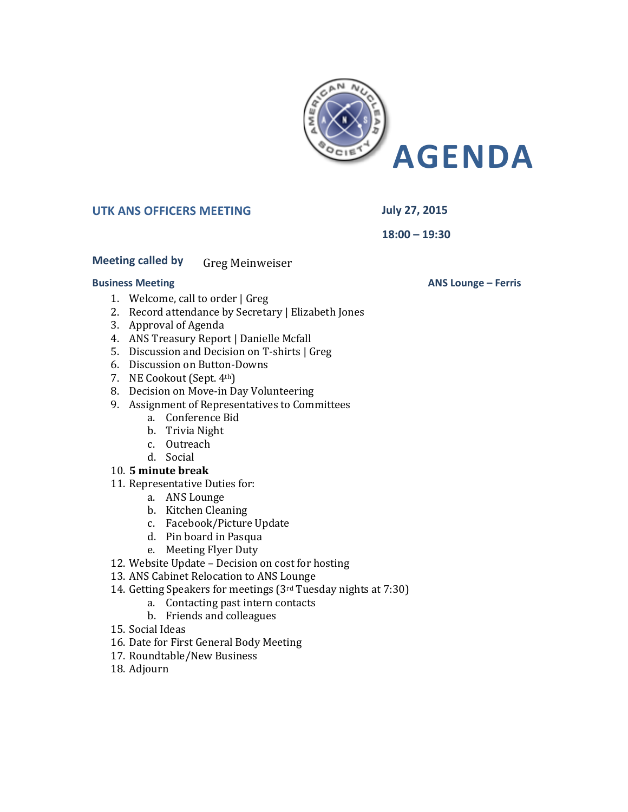

# **UTK ANS OFFICERS MEETING July 27, 2015**

**18:00 – 19:30**

## **Meeting called by Greg Meinweiser**

#### **Business Meeting**

- 1. Welcome, call to order | Greg
- 2. Record attendance by Secretary | Elizabeth Jones
- 3. Approval of Agenda
- 4. ANS Treasury Report | Danielle Mcfall
- 5. Discussion and Decision on T-shirts | Greg
- 6. Discussion on Button-Downs
- 7. NE Cookout (Sept. 4th)
- 8. Decision on Move-in Day Volunteering
- 9. Assignment of Representatives to Committees
	- a. Conference Bid
	- b. Trivia Night
	- c. Outreach
	- d. Social

### 10. **5 minute break**

- 11. Representative Duties for:
	- a. ANS Lounge
	- b. Kitchen Cleaning
	- c. Facebook/Picture Update
	- d. Pin board in Pasqua
	- e. Meeting Flyer Duty
- 12. Website Update Decision on cost for hosting
- 13. ANS Cabinet Relocation to ANS Lounge
- 14. Getting Speakers for meetings (3rd Tuesday nights at 7:30)
	- a. Contacting past intern contacts
		- b. Friends and colleagues
- 15. Social Ideas
- 16. Date for First General Body Meeting
- 17. Roundtable/New Business
- 18. Adjourn

**ANS Lounge – Ferris**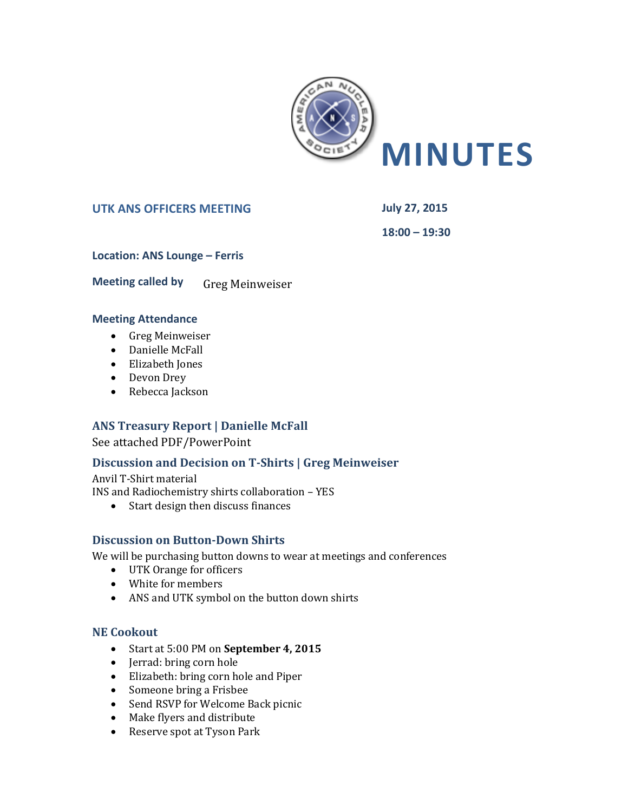

## UTK ANS OFFICERS MEETING<br> **July 27, 2015**

**18:00 – 19:30**

**Location: ANS Lounge – Ferris** 

**Meeting called by Greg Meinweiser** 

### **Meeting Attendance**

- Greg Meinweiser
- Danielle McFall
- Elizabeth Jones
- Devon Drey
- Rebecca Jackson

# **ANS Treasury Report | Danielle McFall**

See attached PDF/PowerPoint

# **Discussion and Decision on T-Shirts | Greg Meinweiser**

Anvil T-Shirt material INS and Radiochemistry shirts collaboration – YES

• Start design then discuss finances

# **Discussion on Button-Down Shirts**

We will be purchasing button downs to wear at meetings and conferences

- UTK Orange for officers
- White for members
- ANS and UTK symbol on the button down shirts

# **NE Cookout**

- Start at 5:00 PM on **September 4, 2015**
- Jerrad: bring corn hole
- Elizabeth: bring corn hole and Piper
- Someone bring a Frisbee
- Send RSVP for Welcome Back picnic
- Make flyers and distribute
- Reserve spot at Tyson Park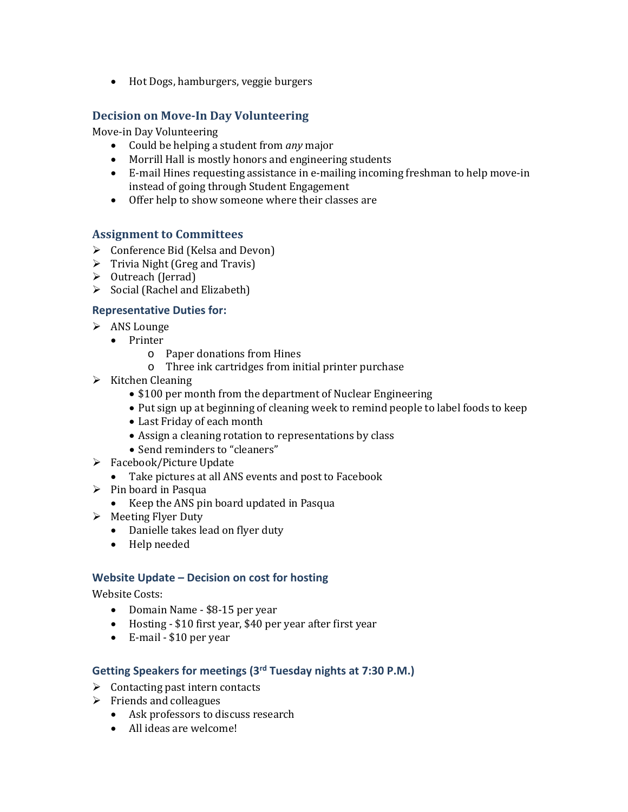• Hot Dogs, hamburgers, veggie burgers

## **Decision on Move-In Day Volunteering**

Move-in Day Volunteering

- Could be helping a student from *any* major
- Morrill Hall is mostly honors and engineering students
- E-mail Hines requesting assistance in e-mailing incoming freshman to help move-in instead of going through Student Engagement
- Offer help to show someone where their classes are

### **Assignment to Committees**

- $\triangleright$  Conference Bid (Kelsa and Devon)
- $\triangleright$  Trivia Night (Greg and Travis)
- ▶ Outreach (Jerrad)
- $\triangleright$  Social (Rachel and Elizabeth)

### **Representative Duties for:**

- $\triangleright$  ANS Lounge
	- Printer
		- o Paper donations from Hines
		- o Three ink cartridges from initial printer purchase
- $\triangleright$  Kitchen Cleaning
	- \$100 per month from the department of Nuclear Engineering
	- Put sign up at beginning of cleaning week to remind people to label foods to keep
	- Last Friday of each month
	- Assign a cleaning rotation to representations by class
	- Send reminders to "cleaners"
- > Facebook/Picture Update
	- Take pictures at all ANS events and post to Facebook
- $\triangleright$  Pin board in Pasqua
	- Keep the ANS pin board updated in Pasqua
- $\triangleright$  Meeting Flyer Duty
	- Danielle takes lead on flyer duty
	- Help needed

#### **Website Update – Decision on cost for hosting**

Website Costs:

- Domain Name \$8-15 per year
- Hosting \$10 first year, \$40 per year after first year
- E-mail \$10 per year

### **Getting Speakers for meetings (3rd Tuesday nights at 7:30 P.M.)**

- $\triangleright$  Contacting past intern contacts
- $\triangleright$  Friends and colleagues
	- Ask professors to discuss research
	- All ideas are welcome!